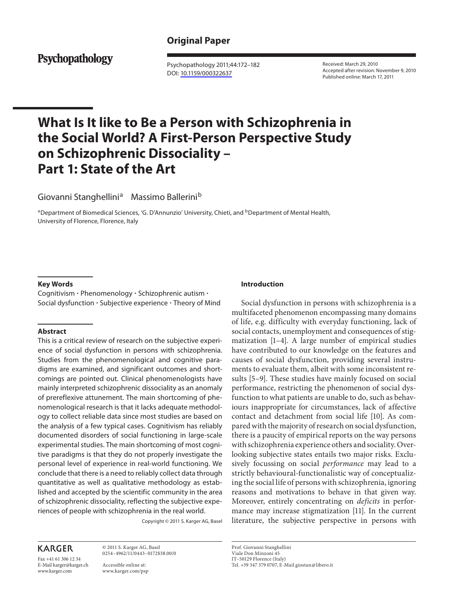# **Original Paper**

Psychopathology

 Psychopathology 2011;44:172–182 DOI: [10.1159/000322637](http://dx.doi.org/10.1159%2F000322637)

 Received: March 29, 2010 Accepted after revision: November 9, 2010 Published online: March 17, 2011

# **What Is It like to Be a Person with Schizophrenia in the Social World? A First-Person Perspective Study on Schizophrenic Dissociality – Part 1: State of the Art**

Giovanni Stanghellini<sup>a</sup> Massimo Ballerini<sup>b</sup>

<sup>a</sup> Department of Biomedical Sciences, 'G. D'Annunzio' University, Chieti, and <sup>b</sup> Department of Mental Health, University of Florence, Florence , Italy

#### **Key Words**

Cognitivism · Phenomenology · Schizophrenic autism · Social dysfunction  $\cdot$  Subjective experience  $\cdot$  Theory of Mind

#### **Abstract**

 This is a critical review of research on the subjective experience of social dysfunction in persons with schizophrenia. Studies from the phenomenological and cognitive paradigms are examined, and significant outcomes and shortcomings are pointed out. Clinical phenomenologists have mainly interpreted schizophrenic dissociality as an anomaly of prereflexive attunement. The main shortcoming of phenomenological research is that it lacks adequate methodology to collect reliable data since most studies are based on the analysis of a few typical cases. Cognitivism has reliably documented disorders of social functioning in large-scale experimental studies. The main shortcoming of most cognitive paradigms is that they do not properly investigate the personal level of experience in real-world functioning. We conclude that there is a need to reliably collect data through quantitative as well as qualitative methodology as established and accepted by the scientific community in the area of schizophrenic dissociality, reflecting the subjective experiences of people with schizophrenia in the real world.

Copyright © 2011 S. Karger AG, Basel

# **KARGER**

Fax +41 61 306 12 34 E-Mail karger@karger.ch www.karger.com

 © 2011 S. Karger AG, Basel 0254–4962/11/0443–0172\$38.00/0

 Accessible online at: www.karger.com/psp

#### **Introduction**

 Social dysfunction in persons with schizophrenia is a multifaceted phenomenon encompassing many domains of life, e.g. difficulty with everyday functioning, lack of social contacts, unemployment and consequences of stigmatization  $[1-4]$ . A large number of empirical studies have contributed to our knowledge on the features and causes of social dysfunction, providing several instruments to evaluate them, albeit with some inconsistent results [5-9]. These studies have mainly focused on social performance, restricting the phenomenon of social dysfunction to what patients are unable to do, such as behaviours inappropriate for circumstances, lack of affective contact and detachment from social life [10]. As compared with the majority of research on social dysfunction, there is a paucity of empirical reports on the way persons with schizophrenia experience others and sociality. Overlooking subjective states entails two major risks. Exclusively focussing on social *performance* may lead to a strictly behavioural-functionalistic way of conceptualizing the social life of persons with schizophrenia, ignoring reasons and motivations to behave in that given way. Moreover, entirely concentrating on *deficits* in performance may increase stigmatization [11]. In the current literature, the subjective perspective in persons with

 Prof. Giovanni Stanghellini Viale Don Minzoni 45 IT–50129 Florence (Italy) Tel. +39 347 379 0707, E-Mail giostan @ libero.it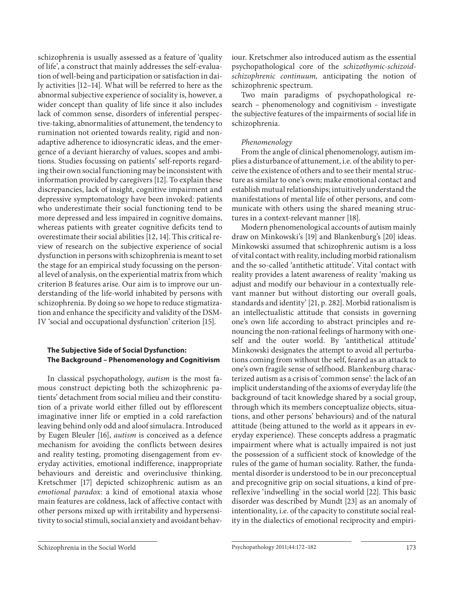schizophrenia is usually assessed as a feature of 'quality of life', a construct that mainly addresses the self-evaluation of well-being and participation or satisfaction in daily activities [12–14] . What will be referred to here as the abnormal subjective experience of sociality is, however, a wider concept than quality of life since it also includes lack of common sense, disorders of inferential perspective-taking, abnormalities of attunement, the tendency to rumination not oriented towards reality, rigid and nonadaptive adherence to idiosyncratic ideas, and the emergence of a deviant hierarchy of values, scopes and ambitions. Studies focussing on patients' self-reports regarding their own social functioning may be inconsistent with information provided by caregivers [12]. To explain these discrepancies, lack of insight, cognitive impairment and depressive symptomatology have been invoked: patients who underestimate their social functioning tend to be more depressed and less impaired in cognitive domains, whereas patients with greater cognitive deficits tend to overestimate their social abilities [12, 14] . This critical review of research on the subjective experience of social dysfunction in persons with schizophrenia is meant to set the stage for an empirical study focussing on the personal level of analysis, on the experiential matrix from which criterion B features arise. Our aim is to improve our understanding of the life-world inhabited by persons with schizophrenia. By doing so we hope to reduce stigmatization and enhance the specificity and validity of the DSM-IV 'social and occupational dysfunction' criterion [15] .

## **The Subjective Side of Social Dysfunction : The Background – Phenomenology and Cognitivism**

 In classical psychopathology, *autism* is the most famous construct depicting both the schizophrenic patients' detachment from social milieu and their constitution of a private world either filled out by efflorescent imaginative inner life or emptied in a cold rarefaction leaving behind only odd and aloof simulacra. Introduced by Eugen Bleuler [16], *autism* is conceived as a defence mechanism for avoiding the conflicts between desires and reality testing, promoting disengagement from everyday activities, emotional indifference, inappropriate behaviours and dereistic and overinclusive thinking. Kretschmer [17] depicted schizophrenic autism as an *emotional paradox*: a kind of emotional ataxia whose main features are coldness, lack of affective contact with other persons mixed up with irritability and hypersensitivity to social stimuli, social anxiety and avoidant behaviour. Kretschmer also introduced autism as the essential psychopathological core of the *schizothymic-schizoidschizophrenic continuum,* anticipating the notion of schizophrenic spectrum.

 Two main paradigms of psychopathological research – phenomenology and cognitivism – investigate the subjective features of the impairments of social life in schizophrenia.

## *Phenomenology*

 From the angle of clinical phenomenology, autism implies a disturbance of attunement, i.e. of the ability to perceive the existence of others and to see their mental structure as similar to one's own; make emotional contact and establish mutual relationships; intuitively understand the manifestations of mental life of other persons, and communicate with others using the shared meaning structures in a context-relevant manner [18] .

 Modern phenomenological accounts of autism mainly draw on Minkowski's [19] and Blankenburg's [20] ideas. Minkowski assumed that schizophrenic autism is a loss of vital contact with reality, including morbid rationalism and the so-called 'antithetic attitude'. Vital contact with reality provides a latent awareness of reality 'making us adjust and modify our behaviour in a contextually relevant manner but without distorting our overall goals, standards and identity' [21, p. 282]. Morbid rationalism is an intellectualistic attitude that consists in governing one's own life according to abstract principles and renouncing the non-rational feelings of harmony with oneself and the outer world. By 'antithetical attitude' Minkowski designates the attempt to avoid all perturbations coming from without the self, feared as an attack to one's own fragile sense of selfhood. Blankenburg characterized autism as a crisis of 'common sense': the lack of an implicit understanding of the axioms of everyday life (the background of tacit knowledge shared by a social group, through which its members conceptualize objects, situations, and other persons' behaviours) and of the natural attitude (being attuned to the world as it appears in everyday experience). These concepts address a pragmatic impairment where what is actually impaired is not just the possession of a sufficient stock of knowledge of the rules of the game of human sociality. Rather, the fundamental disorder is understood to be in our preconceptual and precognitive grip on social situations, a kind of prereflexive 'indwelling' in the social world [22] . This basic disorder was described by Mundt [23] as an anomaly of intentionality, i.e. of the capacity to constitute social reality in the dialectics of emotional reciprocity and empiri-

Schizophrenia in the Social World Psychopathology 2011;44:172–182 173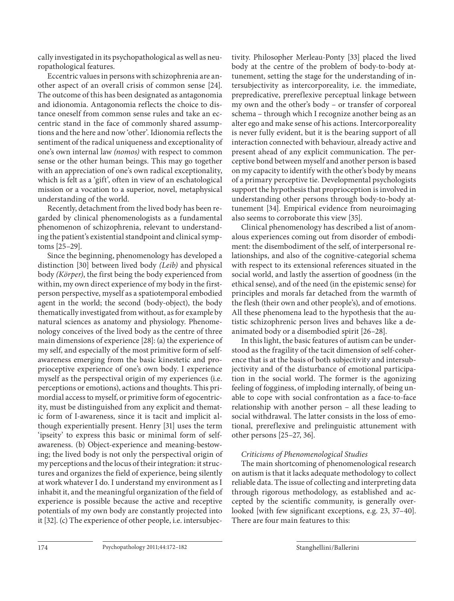cally investigated in its psychopathological as well as neuropathological features.

 Eccentric values in persons with schizophrenia are another aspect of an overall crisis of common sense [24] . The outcome of this has been designated as antagonomia and idionomia. Antagonomia reflects the choice to distance oneself from common sense rules and take an eccentric stand in the face of commonly shared assumptions and the here and now 'other'. Idionomia reflects the sentiment of the radical uniqueness and exceptionality of one's own internal law *(nomos)* with respect to common sense or the other human beings. This may go together with an appreciation of one's own radical exceptionality, which is felt as a 'gift', often in view of an eschatological mission or a vocation to a superior, novel, metaphysical understanding of the world.

 Recently, detachment from the lived body has been regarded by clinical phenomenologists as a fundamental phenomenon of schizophrenia, relevant to understanding the patient's existential standpoint and clinical symptoms [25-29].

 Since the beginning, phenomenology has developed a distinction [30] between lived body *(Leib)* and physical body *(Körper)* , the first being the body experienced from within, my own direct experience of my body in the firstperson perspective, myself as a spatiotemporal embodied agent in the world; the second (body-object), the body thematically investigated from without, as for example by natural sciences as anatomy and physiology. Phenomenology conceives of the lived body as the centre of three main dimensions of experience [28] : (a) the experience of my self, and especially of the most primitive form of selfawareness emerging from the basic kinestetic and proprioceptive experience of one's own body. I experience myself as the perspectival origin of my experiences (i.e. perceptions or emotions), actions and thoughts. This primordial access to myself, or primitive form of egocentricity, must be distinguished from any explicit and thematic form of I-awareness, since it is tacit and implicit although experientially present. Henry [31] uses the term 'ipseity' to express this basic or minimal form of selfawareness. (b) Object-experience and meaning-bestowing; the lived body is not only the perspectival origin of my perceptions and the locus of their integration: it structures and organizes the field of experience, being silently at work whatever I do. I understand my environment as I inhabit it, and the meaningful organization of the field of experience is possible because the active and receptive potentials of my own body are constantly projected into it [32] . (c) The experience of other people, i.e. intersubjectivity. Philosopher Merleau-Ponty [33] placed the lived body at the centre of the problem of body-to-body attunement, setting the stage for the understanding of intersubjectivity as intercorporeality, i.e. the immediate, prepredicative, prereflexive perceptual linkage between my own and the other's body – or transfer of corporeal schema – through which I recognize another being as an alter ego and make sense of his actions. Intercorporeality is never fully evident, but it is the bearing support of all interaction connected with behaviour, already active and present ahead of any explicit communication. The perceptive bond between myself and another person is based on my capacity to identify with the other's body by means of a primary perceptive tie. Developmental psychologists support the hypothesis that proprioception is involved in understanding other persons through body-to-body attunement [34]. Empirical evidence from neuroimaging also seems to corroborate this view [35] .

 Clinical phenomenology has described a list of anomalous experiences coming out from disorder of embodiment: the disembodiment of the self, of interpersonal relationships, and also of the cognitive-categorial schema with respect to its extensional references situated in the social world, and lastly the assertion of goodness (in the ethical sense), and of the need (in the epistemic sense) for principles and morals far detached from the warmth of the flesh (their own and other people's), and of emotions. All these phenomena lead to the hypothesis that the autistic schizophrenic person lives and behaves like a deanimated body or a disembodied spirit [26–28] .

 In this light, the basic features of autism can be understood as the fragility of the tacit dimension of self-coherence that is at the basis of both subjectivity and intersubjectivity and of the disturbance of emotional participation in the social world. The former is the agonizing feeling of fogginess, of imploding internally, of being unable to cope with social confrontation as a face-to-face relationship with another person – all these leading to social withdrawal. The latter consists in the loss of emotional, prereflexive and prelinguistic attunement with other persons [25–27, 36] .

# *Criticisms of Phenomenological Studies*

 The main shortcoming of phenomenological research on autism is that it lacks adequate methodology to collect reliable data. The issue of collecting and interpreting data through rigorous methodology, as established and accepted by the scientific community, is generally overlooked [with few significant exceptions, e.g. 23, 37–40]. There are four main features to this: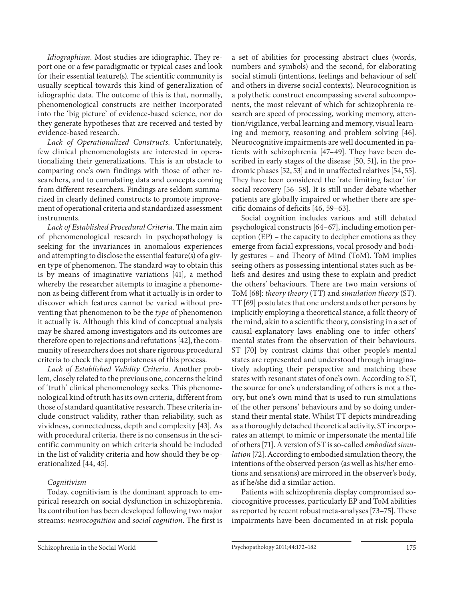*Idiographism.* Most studies are idiographic. They report one or a few paradigmatic or typical cases and look for their essential feature(s). The scientific community is usually sceptical towards this kind of generalization of idiographic data. The outcome of this is that, normally, phenomenological constructs are neither incorporated into the 'big picture' of evidence-based science, nor do they generate hypotheses that are received and tested by evidence-based research.

*Lack of Operationalized Constructs.* Unfortunately, few clinical phenomenologists are interested in operationalizing their generalizations. This is an obstacle to comparing one's own findings with those of other researchers, and to cumulating data and concepts coming from different researchers. Findings are seldom summarized in clearly defined constructs to promote improvement of operational criteria and standardized assessment instruments.

*Lack of Established Procedural Criteria.* The main aim of phenomenological research in psychopathology is seeking for the invariances in anomalous experiences and attempting to disclose the essential feature(s) of a given type of phenomenon. The standard way to obtain this is by means of imaginative variations [41], a method whereby the researcher attempts to imagine a phenomenon as being different from what it actually is in order to discover which features cannot be varied without preventing that phenomenon to be the *type* of phenomenon it actually is. Although this kind of conceptual analysis may be shared among investigators and its outcomes are therefore open to rejections and refutations [42] , the community of researchers does not share rigorous procedural criteria to check the appropriateness of this process.

*Lack of Established Validity Criteria.* Another problem, closely related to the previous one, concerns the kind of 'truth' clinical phenomenology seeks. This phenomenological kind of truth has its own criteria, different from those of standard quantitative research. These criteria include construct validity, rather than reliability, such as vividness, connectedness, depth and complexity [43] . As with procedural criteria, there is no consensus in the scientific community on which criteria should be included in the list of validity criteria and how should they be operationalized [44, 45].

## *Cognitivism*

 Today, cognitivism is the dominant approach to empirical research on social dysfunction in schizophrenia. Its contribution has been developed following two major streams: *neurocognition* and *social cognition* . The first is a set of abilities for processing abstract clues (words, numbers and symbols) and the second, for elaborating social stimuli (intentions, feelings and behaviour of self and others in diverse social contexts). Neurocognition is a polythetic construct encompassing several subcomponents, the most relevant of which for schizophrenia research are speed of processing, working memory, attention/vigilance, verbal learning and memory, visual learning and memory, reasoning and problem solving [46]. Neurocognitive impairments are well documented in patients with schizophrenia [47–49]. They have been described in early stages of the disease [50, 51], in the prodromic phases [52, 53] and in unaffected relatives [54, 55] . They have been considered the 'rate limiting factor' for social recovery [56–58]. It is still under debate whether patients are globally impaired or whether there are specific domains of deficits [46, 59–63] .

 Social cognition includes various and still debated psychological constructs [64-67], including emotion perception (EP) – the capacity to decipher emotions as they emerge from facial expressions, vocal prosody and bodily gestures – and Theory of Mind (ToM). ToM implies seeing others as possessing intentional states such as beliefs and desires and using these to explain and predict the others' behaviours. There are two main versions of ToM [68] : *theory theory* (TT) and *simulation theory* (ST). TT [69] postulates that one understands other persons by implicitly employing a theoretical stance, a folk theory of the mind, akin to a scientific theory, consisting in a set of causal-explanatory laws enabling one to infer others' mental states from the observation of their behaviours. ST [70] by contrast claims that other people's mental states are represented and understood through imaginatively adopting their perspective and matching these states with resonant states of one's own. According to ST, the source for one's understanding of others is not a theory, but one's own mind that is used to run simulations of the other persons' behaviours and by so doing understand their mental state. Whilst TT depicts mindreading as a thoroughly detached theoretical activity, ST incorporates an attempt to mimic or impersonate the mental life of others [71] . A version of ST is so-called *embodied simulation* [72] . According to embodied simulation theory, the intentions of the observed person (as well as his/her emotions and sensations) are mirrored in the observer's body, as if he/she did a similar action.

 Patients with schizophrenia display compromised sociocognitive processes, particularly EP and ToM abilities as reported by recent robust meta-analyses [73–75] . These impairments have been documented in at-risk popula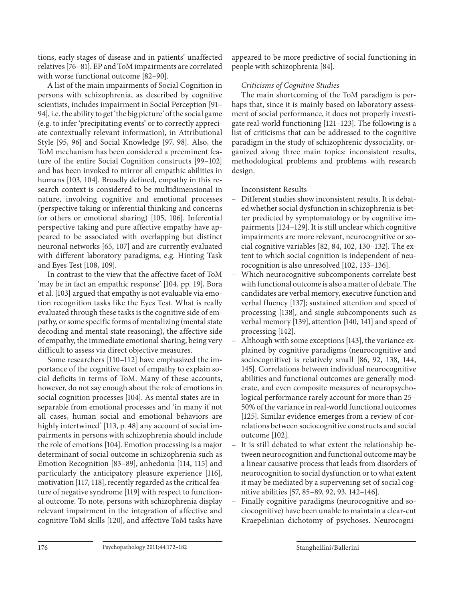tions, early stages of disease and in patients' unaffected relatives [76–81] . EP and ToM impairments are correlated with worse functional outcome [82-90].

 A list of the main impairments of Social Cognition in persons with schizophrenia, as described by cognitive scientists, includes impairment in Social Perception [91– 94], i.e. the ability to get 'the big picture' of the social game (e.g. to infer 'precipitating events' or to correctly appreciate contextually relevant information), in Attributional Style [95, 96] and Social Knowledge [97, 98]. Also, the ToM mechanism has been considered a preeminent feature of the entire Social Cognition constructs [99–102] and has been invoked to mirror all empathic abilities in humans [103, 104]. Broadly defined, empathy in this research context is considered to be multidimensional in nature, involving cognitive and emotional processes (perspective taking or inferential thinking and concerns for others or emotional sharing) [105, 106]. Inferential perspective taking and pure affective empathy have appeared to be associated with overlapping but distinct neuronal networks [65, 107] and are currently evaluated with different laboratory paradigms, e.g. Hinting Task and Eyes Test [108, 109] .

 In contrast to the view that the affective facet of ToM 'may be in fact an empathic response' [104, pp. 19], Bora et al. [103] argued that empathy is not evaluable via emotion recognition tasks like the Eyes Test. What is really evaluated through these tasks is the cognitive side of empathy, or some specific forms of mentalizing (mental state decoding and mental state reasoning), the affective side of empathy, the immediate emotional sharing, being very difficult to assess via direct objective measures.

 Some researchers [110–112] have emphasized the importance of the cognitive facet of empathy to explain social deficits in terms of ToM. Many of these accounts, however, do not say enough about the role of emotions in social cognition processes [104]. As mental states are inseparable from emotional processes and 'in many if not all cases, human social and emotional behaviors are highly intertwined' [113, p. 48] any account of social impairments in persons with schizophrenia should include the role of emotions [104] . Emotion processing is a major determinant of social outcome in schizophrenia such as Emotion Recognition [83-89], anhedonia [114, 115] and particularly the anticipatory pleasure experience [116], motivation [117, 118], recently regarded as the critical feature of negative syndrome [119] with respect to functional outcome. To note, persons with schizophrenia display relevant impairment in the integration of affective and cognitive ToM skills [120], and affective ToM tasks have

appeared to be more predictive of social functioning in people with schizophrenia [84] .

# *Criticisms of Cognitive Studies*

 The main shortcoming of the ToM paradigm is perhaps that, since it is mainly based on laboratory assessment of social performance, it does not properly investigate real-world functioning [121–123] . The following is a list of criticisms that can be addressed to the cognitive paradigm in the study of schizophrenic dyssociality, organized along three main topics: inconsistent results, methodological problems and problems with research design.

- Inconsistent Results
- Different studies show inconsistent results. It is debated whether social dysfunction in schizophrenia is better predicted by symptomatology or by cognitive impairments [124-129]. It is still unclear which cognitive impairments are more relevant, neurocognitive or social cognitive variables [82, 84, 102, 130–132] . The extent to which social cognition is independent of neurocognition is also unresolved [102, 133–136] .
- Which neurocognitive subcomponents correlate best with functional outcome is also a matter of debate. The candidates are verbal memory, executive function and verbal fluency [137]; sustained attention and speed of processing [138], and single subcomponents such as verbal memory [139], attention [140, 141] and speed of processing [142].
- Although with some exceptions [143] , the variance explained by cognitive paradigms (neurocognitive and sociocognitive) is relatively small [86, 92, 138, 144, 145]. Correlations between individual neurocognitive abilities and functional outcomes are generally moderate, and even composite measures of neuropsychological performance rarely account for more than 25– 50% of the variance in real-world functional outcomes [125]. Similar evidence emerges from a review of correlations between sociocognitive constructs and social outcome [102].
- It is still debated to what extent the relationship between neurocognition and functional outcome may be a linear causative process that leads from disorders of neurocognition to social dysfunction or to what extent it may be mediated by a supervening set of social cognitive abilities [57, 85–89, 92, 93, 142–146] .
- Finally cognitive paradigms (neurocognitive and sociocognitive) have been unable to maintain a clear-cut Kraepelinian dichotomy of psychoses. Neurocogni-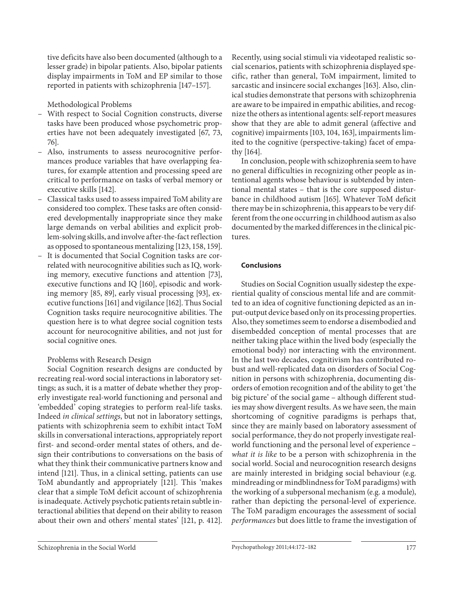tive deficits have also been documented (although to a lesser grade) in bipolar patients. Also, bipolar patients display impairments in ToM and EP similar to those reported in patients with schizophrenia [147–157] .

Methodological Problems

- With respect to Social Cognition constructs, diverse tasks have been produced whose psychometric properties have not been adequately investigated [67, 73, 76] .
- Also, instruments to assess neurocognitive performances produce variables that have overlapping features, for example attention and processing speed are critical to performance on tasks of verbal memory or executive skills [142].
- Classical tasks used to assess impaired ToM ability are considered too complex. These tasks are often considered developmentally inappropriate since they make large demands on verbal abilities and explicit problem-solving skills, and involve after-the-fact reflection as opposed to spontaneous mentalizing [123, 158, 159] .
- It is documented that Social Cognition tasks are correlated with neurocognitive abilities such as IQ, working memory, executive functions and attention [73], executive functions and IQ [160], episodic and working memory [85, 89], early visual processing [93], executive functions [161] and vigilance [162] . Thus Social Cognition tasks require neurocognitive abilities. The question here is to what degree social cognition tests account for neurocognitive abilities, and not just for social cognitive ones.

Problems with Research Design

 Social Cognition research designs are conducted by recreating real-word social interactions in laboratory settings; as such, it is a matter of debate whether they properly investigate real-world functioning and personal and 'embedded' coping strategies to perform real-life tasks. Indeed *in clinical settings* , but not in laboratory settings, patients with schizophrenia seem to exhibit intact ToM skills in conversational interactions, appropriately report first- and second-order mental states of others, and design their contributions to conversations on the basis of what they think their communicative partners know and intend [121]. Thus, in a clinical setting, patients can use ToM abundantly and appropriately [121]. This 'makes clear that a simple ToM deficit account of schizophrenia is inadequate. Actively psychotic patients retain subtle interactional abilities that depend on their ability to reason about their own and others' mental states' [121, p. 412].

Recently, using social stimuli via videotaped realistic social scenarios, patients with schizophrenia displayed specific, rather than general, ToM impairment, limited to sarcastic and insincere social exchanges [163]. Also, clinical studies demonstrate that persons with schizophrenia are aware to be impaired in empathic abilities, and recognize the others as intentional agents: self-report measures show that they are able to admit general (affective and cognitive) impairments [103, 104, 163], impairments limited to the cognitive (perspective-taking) facet of empathy [164].

 In conclusion, people with schizophrenia seem to have no general difficulties in recognizing other people as intentional agents whose behaviour is subtended by intentional mental states – that is the core supposed disturbance in childhood autism [165] . Whatever ToM deficit there may be in schizophrenia, this appears to be very different from the one occurring in childhood autism as also documented by the marked differences in the clinical pictures.

### **Conclusions**

 Studies on Social Cognition usually sidestep the experiential quality of conscious mental life and are committed to an idea of cognitive functioning depicted as an input-output device based only on its processing properties. Also, they sometimes seem to endorse a disembodied and disembedded conception of mental processes that are neither taking place within the lived body (especially the emotional body) nor interacting with the environment. In the last two decades, cognitivism has contributed robust and well-replicated data on disorders of Social Cognition in persons with schizophrenia, documenting disorders of emotion recognition and of the ability to get 'the big picture' of the social game – although different studies may show divergent results. As we have seen, the main shortcoming of cognitive paradigms is perhaps that, since they are mainly based on laboratory assessment of social performance, they do not properly investigate realworld functioning and the personal level of experience – *what it is like* to be a person with schizophrenia in the social world. Social and neurocognition research designs are mainly interested in bridging social behaviour (e.g. mindreading or mindblindness for ToM paradigms) with the working of a subpersonal mechanism (e.g. a module), rather than depicting the personal-level of experience. The ToM paradigm encourages the assessment of social *performances* but does little to frame the investigation of

Schizophrenia in the Social World Psychopathology 2011;44:172–182 177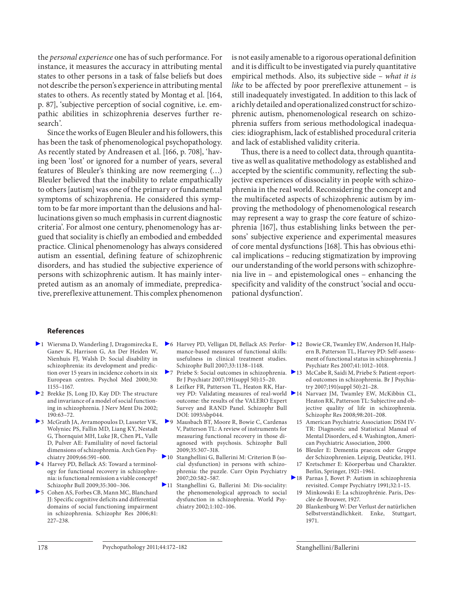the *personal experience* one has of such performance. For instance, it measures the accuracy in attributing mental states to other persons in a task of false beliefs but does not describe the person's experience in attributing mental states to others. As recently stated by Montag et al. [164, p. 87], 'subjective perception of social cognitive, i.e. empathic abilities in schizophrenia deserves further research'.

 Since the works of Eugen Bleuler and his followers, this has been the task of phenomenological psychopathology. As recently stated by Andreasen et al. [166, p. 708], 'having been 'lost' or ignored for a number of years, several features of Bleuler's thinking are now reemerging (…) Bleuler believed that the inability to relate empathically to others [autism] was one of the primary or fundamental symptoms of schizophrenia. He considered this symptom to be far more important than the delusions and hallucinations given so much emphasis in current diagnostic criteria'. For almost one century, phenomenology has argued that sociality is chiefly an embodied and embedded practice. Clinical phenomenology has always considered autism an essential, defining feature of schizophrenic disorders, and has studied the subjective experience of persons with schizophrenic autism. It has mainly interpreted autism as an anomaly of immediate, prepredicative, prereflexive attunement. This complex phenomenon

is not easily amenable to a rigorous operational definition and it is difficult to be investigated via purely quantitative empirical methods. Also, its subjective side – *what it is like* to be affected by poor prereflexive attunement – is still inadequately investigated. In addition to this lack of a richly detailed and operationalized construct for schizophrenic autism, phenomenological research on schizophrenia suffers from serious methodological inadequacies: idiographism, lack of established procedural criteria and lack of established validity criteria.

 Thus, there is a need to collect data, through quantitative as well as qualitative methodology as established and accepted by the scientific community, reflecting the subjective experiences of dissociality in people with schizophrenia in the real world. Reconsidering the concept and the multifaceted aspects of schizophrenic autism by improving the methodology of phenomenological research may represent a way to grasp the core feature of schizophrenia [167], thus establishing links between the persons' subjective experience and experimental measures of core mental dysfunctions [168] . This has obvious ethical implications – reducing stigmatization by improving our understanding of the world persons with schizophrenia live in – and epistemological ones – enhancing the specificity and validity of the construct 'social and occupational dysfunction'.

#### **References**

- ▶ 1 Wiersma D, Wanderling J, Dragomirecka E, Ganev K, Harrison G, An Der Heiden W, Nienhuis FJ, Walsh D: Social disability in schizophrenia: its development and prediction over 15 years in incidence cohorts in six European centres. Psychol Med 2000; 30: 1155–1167.
- ▶ 2 Brekke JS, Long JD, Kay DD: The structure and invariance of a model of social functioning in schizophrenia. J Nerv Ment Dis 2002; 190:63–72.
- 3 McGrath JA, Avramopoulos D, Lasseter VK, Wolyniec PS, Fallin MD, Liang KY, Nestadt G, Thornquist MH, Luke JR, Chen PL, Valle D, Pulver AE: Familiality of novel factorial dimensions of schizophrenia. Arch Gen Psychiatry 2009;66:591–600.
- 4 Harvey PD, Bellack AS: Toward a terminology for functional recovery in schizophrenia: is functional remission a viable concept? Schizophr Bull 2009;35:300–306.
- 5 Cohen AS, Forbes CB, Mann MC, Blanchard JJ: Specific cognitive deficits and differential domains of social functioning impairment in schizophrenia. Schizophr Res 2006;81: 227–238.
- 6 Harvey PD, Velligan DI, Bellack AS: Perfor- 12 Bowie CR, Twamley EW, Anderson H, Halpmance-based measures of functional skills: usefulness in clinical treatment studies. Schizophr Bull 2007;33:1138–1148.
- 7 Priebe S: Social outcomes in schizophrenia. 13 McCabe R, Saidi M, Priebe S: Patient-report-Br J Psychiatr 2007;191(suppl 50):15–20.
- 8 Leifker FR, Patterson TL, Heaton RK, Haroutcome: the results of the VALERO Expert Survey and RAND Panel. Schizophr Bull DOI: 1093/sbp044.
- 9 Mausbach BT, Moore R, Bowie C, Cardenas V, Patterson TL: A review of instruments for measuring functional recovery in those diagnosed with psychosis. Schizophr Bull 2009;35:307–318.
- 10 Stanghellini G, Ballerini M: Criterion B (social dysfunction) in persons with schizophrenia: the puzzle. Curr Opin Psychiatry 2007;20:582–587.
- 11 Stanghellini G, Ballerini M: Dis-sociality: the phenomenological approach to social dysfunction in schizophrenia. World Psychiatry 2002;1:102–106.
- ern B, Patterson TL, Harvey PD: Self-assessment of functional status in schizophrenia. J Psychiatr Res 2007;41:1012–1018.
- ed outcomes in schizophrenia. Br J Psychiatry 2007;191(suppl 50):21–28.
- vey PD: Validating measures of real-world 14 Narvaez JM, Twamley EW, McKibbin CL, Heaton RK, Patterson TL: Subjective and objective quality of life in schizophrenia. Schizophr Res 2008;98:201–208.
	- 15 American Psychiatric Association: DSM IV-TR: Diagnostic and Statistical Manual of Mental Disorders, ed 4. Washington, American Psychiatric Association, 2000.
	- 16 Bleuler E: Dementia praecox oder Gruppe der Schizophrenien. Leipzig, Deuticke, 1911.
	- 17 Kretschmer E: Köorperbau und Charakter. Berlin, Springer, 1921–1961.
	- 18 Parnas J, Bovet P: Autism in schizophrenia revisited. Compr Psychiatry 1991;32:1–15.
		- 19 Minkowski E: La schizophrénie. Paris, Desclée de Brouwer, 1927.
		- 20 Blankenburg W: Der Verlust der natürlichen Selbstverständlichkeit. Enke, Stuttgart, 1971.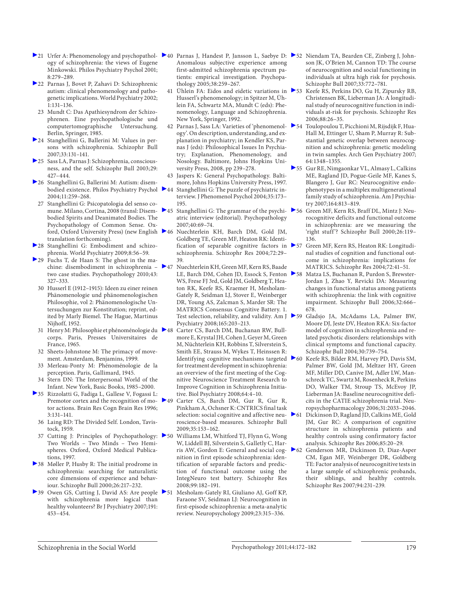- ogy of schizophrenia: the views of Eugene Minkowski. Philos Psychiatry Psychol 2001; 8:279–289.
- 22 Parnas J, Bovet P, Zahavi D: Schizophrenic autism: clinical phenomenology and pathogenetic implications. World Psychiatry 2002; 1:131–136.
- 23 Mundt C: Das Apathiesyndrom der Schizophrenen. Eine psychopathologische und<br>computertomographische Untersuchung. computertomographische Berlin, Springer, 1985.
- 24 Stanghellini G, Ballerini M: Values in persons with schizophrenia. Schizophr Bull 2007;33:131–141.
- 25 Sass LA, Parnas J: Schizophrenia, consciousness, and the self. Schizophr Bull 2003;29: 427–444.
- 26 Stanghellini G, Ballerini M: Autism: disembodied existence. Philos Psychiatry Psychol 244 2004;11:259–268.
	- 27 Stanghellini G: Psicopatologia del senso cobodied Spirits and Deanimated Bodies. The Psychopathology of Common Sense. Oxford, Oxford University Press) (new English translation forthcoming).
- 28 Stanghellini G: Embodiment and schizophrenia. World Psychiatry 2009;8:56–59.
- 29 Fuchs T, de Haan S: The ghost in the machine: disembodiment in schizophrenia –  $\blacktriangleright$  47 two case studies. Psychopathology 2010;43: 327–333.
	- 30 Husserl E (1912–1915): Ideen zu einer reinen Phänomenologie und phänomenologischen Philosophie, vol 2: Phänomenologische Untersuchungen zur Konstitution; reprint, edited by Marly Biemel. The Hague, Martinus Nijhoff, 1952.
	- 31 Henry M: Philosophie et phénoménologie du corps. Paris, Presses Universitaires de France, 1965.
	- 32 Sheets-Johnstone M: The primacy of movement. Amsterdam, Benjamins, 1999.
	- 33 Merleau-Ponty M: Phénoménologie de la perception. Paris, Gallimard, 1945.
	- 34 Stern DN: The Interpersonal World of the Infant. New York, Basic Books, 1985–2000.
- 35 Rizzolatti G, Fadiga L, Gallese V, Fogassi L: Premotor cortex and the recognition of motor actions. Brain Res Cogn Brain Res 1996; 3:131–141.
	- 36 Laing RD: The Divided Self. London, Tavistock, 1959.
- 37 Cutting J: Principles of Psychopathology: Two Worlds – Two Minds – Two Hemispheres. Oxford, Oxford Medical Publications, 1997.
- 38 Møller P, Husby R: The initial prodrome in schizophrenia: searching for naturalistic core dimensions of experience and behaviour. Schizophr Bull 2000;26:217–232.
- ▶ 39 Owen GS, Cutting J, David AS: Are people ▶ 51 with schizophrenia more logical than healthy volunteers? Br J Psychiatry 2007;191:  $453 - 454$
- 21 Urfer A: Phenomenology and psychopathol- 40 Parnas J, Handest P, Jansson L, Saebye D: 52 Niendam TA, Bearden CE, Zinberg J, John-Anomalous subjective experience among first-admitted schizophrenia spectrum patients: empirical investigation. Psychopathology 2005;38:259–267.
	- 41 Ühlein FA: Eidos and eidetic variations in 53 Keefe RS, Perkins DO, Gu H, Zipursky RB, Husserl's phenomenology; in Spitzer M, Ühlein FA, Schwartz MA, Mundt C (eds): Phenomenology, Language and Schizophrenia. New York, Springer, 1992.
	- 42 Parnas J, Sass LA: Varieties of 'phenomenology'. On description, understanding, and explanation in psychiatry; in Kendler KS, Parnas J (eds): Philosophical Issues In Psychiatry; Explanation, Phenomenology, and Nosology. Baltimore, Johns Hopkins University Press, 2008, pp 239–278.
	- 43 Jaspers K: General Psychopathology. Baltimore, Johns Hopkins University Press, 1997.
	- Stanghellini G: The puzzle of psychiatric interview. J Phenomenol Psychol 2004;35:173– 195.
	- mune. Milano, Cortina, 2008 (transl: Disem- 45 Stanghellini G: The grammar of the psychi- 56 Green MF, Kern RS, Braff DL, Mintz J: Neuatric interview (editorial). Psychopathology 2007;40:69–74.
		- 46 Nuechterlein KH, Barch DM, Gold JM, Goldberg TE, Green MF, Heaton RK: Identischizophrenia. Schizophr Res 2004;72:29– 39.
		- 47 Nuechterlein KH, Green MF, Kern RS, Baade WS, Frese FJ 3rd, Gold JM, Goldberg T, Heaton RK, Keefe RS, Kraemer H, Mesholam-Gately R, Seidman LJ, Stover E, Weinberger DR, Young AS, Zalcman S, Marder SR: The MATRICS Consensus Cognitive Battery. 1. Test selection, reliability, and validity. Am J  $\triangleright$  59 Psychiatry 2008;165:203–213.
		- Carter CS, Barch DM, Buchanan RW, Bullmore E, Krystal JH, Cohen J, Geyer M, Green M, Nüchterlein KH, Robbins T, Silverstein S, Smith EE, Strauss M, Wykes T, Heinssen R: Identifying cognitive mechanisms targeted for treatment development in schizophrenia: an overview of the first meeting of the Cognitive Neuroscience Treatment Research to Improve Cognition in Schizophrenia Initiative. Biol Psychiatry 2008;64:4–10.
		- 49 Carter CS, Barch DM, Gur R, Gur R, Pinkham A, Ochsner K: CNTRICS final task selection: social cognitive and affective neuroscience-based measures. Schizophr Bull 2009;35:153–162.
		- 50 Williams LM, Whitford TJ, Flynn G, Wong W, Liddell BJ, Silverstein S, Galletly C, Harris AW, Gordon E: General and social cognition in first episode schizophrenia: identification of separable factors and prediction of functional outcome using the IntegNeuro test battery. Schizophr Res 2008;99:182–191.
		- 51 Mesholam-Gately RI, Giuliano AJ, Goff KP, Faraone SV, Seidman LJ: Neurocognition in first-episode schizophrenia: a meta-analytic review. Neuropsychology 2009;23:315–336.
- son JK, O'Brien M, Cannon TD: The course of neurocognition and social functioning in individuals at ultra high risk for psychosis. Schizophr Bull 2007;33:772–781.
- Christensen BK, Lieberman JA: A longitudinal study of neurocognitive function in individuals at-risk for psychosis. Schizophr Res 2006;88:26–35.
- 54 Toulopoulou T, Picchioni M, Rijsdijk F, Hua-Hall M, Ettinger U, Sham P, Murray R: Substantial genetic overlap between neurocognition and schizophrenia: genetic modeling in twin samples. Arch Gen Psychiatry 2007; 64:1348–1355.
- 55 Gur RE, Nimgaonkar VL, Almasy L, Calkins ME, Ragland JD, Pogue-Geile MF, Kanes S, Blangero J, Gur RC: Neurocognitive endophenotypes in a multiplex multigenerational family study of schizophrenia. Am J Psychiatry 2007;164:813–819.
	- rocognitive deficits and functional outcome in schizophrenia: are we measuring the 'right stuff'? Schizophr Bull 2000;26:119– 136.
- fication of separable cognitive factors in 57 Green MF, Kern RS, Heaton RK: Longitudinal studies of cognition and functional outcome in schizophrenia: implications for MATRICS. Schizophr Res 2004;72:41–51.
- LE, Barch DM, Cohen JD, Essock S, Fenton 58 Matza LS, Buchanan R, Purdon S, Brewster-Jordan J, Zhao Y, Revicki DA: Measuring changes in functional status among patients with schizophrenia: the link with cognitive impairment. Schizophr Bull 2006;32:666– 678.
	- Gladsjo JA, McAdams LA, Palmer BW, Moore DJ, Jeste DV, Heaton RKA: Six-factor model of cognition in schizophrenia and related psychotic disorders: relationships with clinical symptoms and functional capacity. Schizophr Bull 2004;30:739–754.
	- 60 Keefe RS, Bilder RM, Harvey PD, Davis SM, Palmer BW, Gold JM, Meltzer HY, Green MF, Miller DD, Canive JM, Adler LW, Manschreck TC, Swartz M, Rosenheck R, Perkins DO, Walker TM, Stroup TS, McEvoy JP, Lieberman JA: Baseline neurocognitive deficits in the CATIE schizophrenia trial. Neuropsychopharmacology 2006;31:2033–2046.
	- 61 Dickinson D, Ragland JD, Calkins ME, Gold JM, Gur RC: A comparison of cognitive structure in schizophrenia patients and healthy controls using confirmatory factor analysis. Schizophr Res 2006;85:20–29.
	- 62 Genderson MR, Dickinson D, Diaz-Asper CM, Egan MF, Weinberger DR, Goldberg TE: Factor analysis of neurocognitive tests in a large sample of schizophrenic probands, their siblings, and healthy controls. Schizophr Res 2007;94:231–239.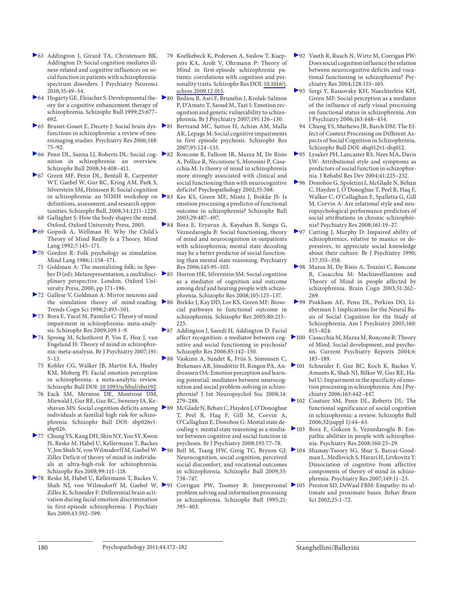- 63 Addington J, Girard TA, Christensen BK, Addington D: Social cognition mediates illness-related and cognitive influences on social function in patients with schizophreniaspectrum disorders. J Psychiatry Neurosci 2010;35:49–54.
- 64 Hogarty GE, Fleischer S: Developmental theory for a cognitive enhancement therapy of schizophrenia. Schizophr Bull 1999;25:677– 692.
- ▶ 65 Brunet-Gouet E, Decety J: Social brain dys- ▶ 81 functions in schizophrenia: a review of neuroimaging studies. Psychiatry Res 2006;148: 75–92.
- nition in schizophrenia: an overview. Schizophr Bull 2008;34:408–411.
- 67 Green MF, Penn DL, Bentall R, Carpenter WT, Gaebel W, Gur RC, Kring AM, Park S, Silverstein SM, Heinssen R: Social cognition in schizophrenia: an NIMH workshop on definitions, assessment, and research opportunities. Schizophr Bull. 2008;34:1211–1220.
- 68 Gallagher S: How the body shapes the mind. Oxford, Oxford University Press, 2005.
- 69 Gopnik A, Wellman H: Why the Child's Theory of Mind Really Is a Theory. Mind Lang 1992;7:145–171.
- 70 Gordon R: Folk psychology as simulation. Mind Lang 1986;1:158–171.
- 71 Goldman A: The mentalizing folk; in Sperber D (ed): Metarepresentation, a multidisciplinary perspective. London, Oxford University Press, 2000, pp 171–196.
- 72 Gallese V, Goldman A: Mirror neurons and the simulation theory of mind-reading. Trends Cogn Sci 1998;2:493–501.
- 73 Bora E, Yucel M, Pantelis C: Theory of mind impairment in schizophrenia: meta-analysis. Schizophr Res 2009;109:1–9.
- 74 Sprong M, Schothorst P, Vos E, Hox J, van Engeland H: Theory of mind in schizophrenia: meta-analysis. Br J Psychiatry 2007;191: 5–13.
	- 75 Kohler CG, Walker JB, Martin EA, Healey KM, Moberg PJ: Facial emotion perception in schizophrenia: a meta-analytic review. Schizophr Bull DOI: [10.1093/schbul/sbn192](http://dx.doi.org/10.1093%2Fschbul%2Fsbn192).
	- 76 Eack SM, Mermon DE, Montrose DM, Miewald J, Gur RE, Gur RC, Sweeney JA, Keshavan MS: Social cognition deficits among individuals at familial high risk for schizophrenia. Schizophr Bull DOI: sbp026v1 sbp026.
- 77 Chung YS, Kang DH, Shin NY, Yoo SY, Kwon JS, Reske M, Habel U, Kellermann T, Backes V, Jon Shah N, von Wilmsdorff M, Gaebel W: ▶90 Zilles Deficit of theory of mind in individuals at ultra-high-risk for schizophrenia. Schizophr Res 2008;99:111–118.
- 78 Reske M, Habel U, Kellermann T, Backes V, Shah NJ, von Wilmsdorff M, Gaebel W, Zilles K, Schneider F: Differential brain activation during facial emotion discrimination in first-episode schizophrenia. J Psychiatr Res 2009;43:592–599.
- 79 Koelkebeck K, Pedersen A, Suslow T, Kueppers KA, Arolt V, Ohrmann P: Theory of Mind in first-episode schizophrenia patients: correlations with cognition and personality traits. Schizophr Res DOI: [10.1016/j](http://dx.doi.org/10.1016%2Fj.schres.2009.12.015). [schres.2009.12.015.](http://dx.doi.org/10.1016%2Fj.schres.2009.12.015)
- Bediou B, Asri F, Brunelin J, Krolak-Salmon P, D'Amato T, Saoud M, Tazi I: Emotion recognition and genetic vulnerability to schizophrenia. Br J Psychiatry 2007;191:126–130.
- Bertrand MC, Sutton H, Achim AM, Malla AK, Lepage M: Social cognitive impairments in first episode psychosis. Schizophr Res 2007;95:124–133.
- 66 Penn DL, Sanna LJ, Roberts DL: Social cog- 82 Roncone R, Falloon IR, Mazza M, De Risio A, Pollice R, Necozione S, Morosini P, Casacchia M: Is theory of mind in schizophrenia more strongly associated with clinical and social functioning than with neurocognitive deficits? Psychopathology 2002;35:368.
	- 83 Kee KS, Green MF, Mintz J, Brekke JS: Is emotion processing a predictor of functional outcome in schizophrenia? Schizophr Bull 2003;29:487–497.
	- 84 Bora E, Eryavuz A, Kayahan B, Sungu G, Veznedaroglu B: Social functioning, theory of mind and neurocognition in outpatients with schizophrenia; mental state decoding may be a better predictor of social functioning than mental state reasoning. Psychiatry Res 2006;145:95–103.
	- 85 Horton HK, Silverstein SM: Social cognition as a mediator of cognition and outcome among deaf and hearing people with schizophrenia. Schizophr Res 2008;105:125–137.
	- 86 Brekke J, Kay DD, Lee KS, Green MF: Biosocial pathways to functional outcome in schizophrenia. Schizophr Res 2005;80:213– 225.
	- 87 Addington J, Saeedi H, Addington D: Facial affect recognition: a mediator between cognitive and social functioning in psychosis? Schizophr Res 2006;85:142–150.
	- 88 Vaskinn A, Sundet K, Friis S, Simonsen C, Birkenaes AB, Jónsdóttir H, Ringen PA, Andreassen OA: Emotion perception and learning potential: mediators between neurocognition and social problem-solving in schizophrenia? J Int Neuropsychol Soc 2008;14: 279–288.
	- 89 McGlade N, Behan C, Hayden J, O'Donoghue T, Peel R, Haq F, Gill M, Corvin A, O'Callaghan E, Donohoe G: Mental state decoding v. mental state reasoning as a mediator between cognitive and social function in psychosis. Br J Psychiatry 2008;193:77–78.
		- Bell M, Tsang HW, Greig TC, Bryson GJ: Neurocognition, social cognition, perceived social discomfort, and vocational outcomes in schizophrenia. Schizophr Bull 2009;35: 738–747.
	- 91 Corrigan PW, Toomey R: Interpersonal > 105 Preston SD, DeWaal FBM: Empathy: its ulproblem solving and information processing in schizophrenia. Schizophr Bull 1995;21: 395–403.
- 92 Vauth R, Rusch N, Wirtz M, Corrigan PW: Does social cognition influence the relation between neurocognitive deficits and vocational functioning in schizophrenia? Psychiatry Res 2004;128:155–165.
- 93 Sergi Y, Rassovsky KH, Nuechterlein KH, Green MF: Social perception as a mediator of the influence of early visual processing on functional status in schizophrenia. Am J Psychiatry 2006;163:448–454.
- 94 Chung YS, Mathews JR, Barch DM: The Effect of Context Processing on Different Aspects of Social Cognition in Schizophrenia. Schizophr Bull DOI: sbq012v1-sbq012.
- 95 Lysaker PH, Lancaster RS, Nees MA, Davis LW: Attributional style and symptoms as predictors of social function in schizophrenia. J Rehabil Res Dev 2004;41:225–232.
- 96 Donohoe G, Spoletini I, McGlade N, Behan C, Hayden J, O'Donoghue T, Peel R, Haq F, Walker C, O'Callaghan E, Spalletta G, Gill M, Corvin A: Are relational style and neuropsychological performance predictors of social attributions in chronic schizophrenia? Psychiatry Res 2008;161:19–27.
- 97 Cutting J, Murphy D: Impaired ability of schizophrenics, relative to manics or depressives, to appreciate social knowledge about their culture. Br J Psychiatry 1990; 157:355–358.
- 98 Mazza M, De Risio A, Tozzini C, Roncone R, Casacchia M: Machiavellianism and Theory of Mind in people affected by schizophrenia. Brain Cogn 2003;51:262– 269.
- 99 Pinkham AE, Penn DL, Perkins DO, Lieberman J: Implications for the Neural Basis of Social Cognition for the Study of Schizophrenia. Am J Psychiatry 2003;160: 815–824.
- 100 Casacchia M, Mazza M, Roncone R: Theory of Mind, Social development, and psychosis. Current Psychiatry Reports 2004;6: 183–189.
- 101 Schneider F, Gur RC, Koch K, Backes V, Amunts K, Shah NJ, Bilker W, Gur RE, Habel U: Impairment in the specificity of emotion processing in schizophrenia. Am J Psychiatry 2006;163:442–447.
- 102 Couture SM, Penn DL, Roberts DL: The functional significance of social cognition in schizophrenia: a review. Schizophr Bull 2006;32(suppl 1):44–63.
	- 103 Bora E, Gokcen S, Veznedaroglu B: Empathic abilities in people with schizophrenia. Psychiatry Res 2008;160:23–29.
- 104 Shamay-Tsoory SG, Shur S, Barcai-Goodman L, Medlovich S, Harari H, Levkovitz Y: Dissociation of cognitive from affective components of theory of mind in schizophrenia. Psychiatry Res 2007;149:11–23.
- timate and proximate bases. Behav Brain Sci 2002;25:1–72.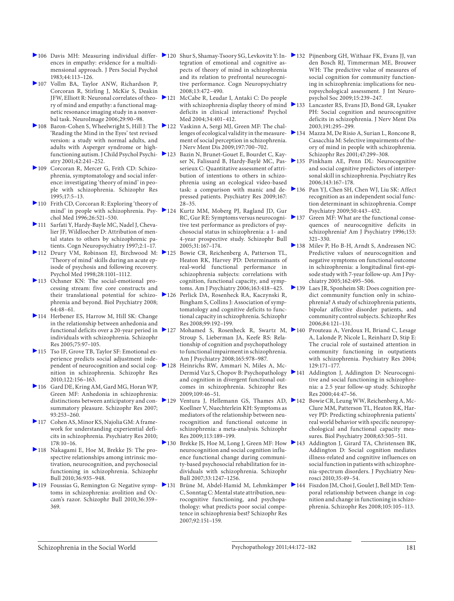- ences in empathy: evidence for a multidimensional approach. J Pers Social Psychol 1983;44:113–126.
- 107 Vollm BA, Taylor ANW, Richardson P, Corcoran R, Stirling J, McKie S, Deakin ry of mind and empathy: a functional magnetic resonance imaging study in a nonverbal task. NeuroImage 2006;29:90–98.
- ▶ 108 Baron-Cohen S, Wheelwright S, Hill J: The ▶ 122 'Reading the Mind in the Eyes' test revised version: a study with normal adults, and adults with Asperger syndrome or highatry 2001;42:241–252.
- 109 Corcoran R, Mercer G, Frith CD: Schizophrenia, symptomatology and social inference: investigating 'theory of mind' in people with schizophrenia. Schizophr Res 1995;17:5–13.
- 110 Frith CD, Corcoran R: Exploring 'theory of mind' in people with schizophrenia. Psy- 2124 chol Med 1996;26:521–530.
- 111 Sarfati Y, Hardy-Bayle MC, Nadel J, Chevalier JF, Wildloecher D: Attribution of mental states to others by schizophrenic patients. Cogn Neuropsychiatry 1997;2:1–17.
- ▶ 112 Drury VM, Robinson EJ, Birchwood M: ▶ 125 'Theory of mind' skills during an acute episode of psychosis and following recovery. Psychol Med 1998;28:1101–1112.
- 113 Ochsner KN: The social-emotional processing stream: five core constructs and their translational potential for schizophrenia and beyond. Biol Psychiatry 2008; 64:48–61.
- 114 Herbener ES, Harrow M, Hill SK: Change in the relationship between anhedonia and functional deficits over a 20-year period in  $\geq 127$ individuals with schizophrenia. Schizophr Res 2005;75:97–105.
- 115 Tso IF, Grove TB, Taylor SF: Emotional experience predicts social adjustment independent of neurocognition and social cognition in schizophrenia. Schizophr Res 2010;122:156–163.
- 116 Gard DE, Kring AM, Gard MG, Horan WP, Green MF: Anhedonia in schizophrenia: distinctions between anticipatory and consummatory pleasure. Schizophr Res 2007; 93:253–260.
- 117 Cohen AS, Minor KS, Najolia GM: A framework for understanding experiential deficits in schizophrenia. Psychiatry Res 2010; 178:10–16.
- 118 Nakagami E, Hoe M, Brekke JS: The prospective relationships among intrinsic motivation, neurocognition, and psychosocial functioning in schizophrenia. Schizophr Bull 2010;36:935–948.
- 119 Foussias G, Remington G: Negative symptoms in schizophrenia: avolition and Occam's razor. Schizophr Bull 2010;36:359– 369.
- 106 Davis MH: Measuring individual differ- 120 Shur S, Shamay-Tsoory SG, Levkovitz Y: In- 132 Pijnenborg GH, Withaar FK, Evans JJ, van tegration of emotional and cognitive aspects of theory of mind in schizophrenia and its relation to prefrontal neurocognitive performance. Cogn Neuropsychiatry 2008;13:472–490.
	- JFW, Elliott R: Neuronal correlates of theo- 121 McCabe R, Leudar I, Antaki C: Do people with schizophrenia display theory of mind >133 deficits in clinical interactions? Psychol Med 2004;34:401–412.
		- Vaskinn A, Sergi MJ, Green MF: The chalment of social perception in schizophrenia. J Nerv Ment Dis 2009;197:700–702.
	- functioning autism. J Child Psychol Psychi- 123 Bazin N, Brunet-Gouet E, Bourdet C, Kayserieux C: Quantitative assessment of attribution of intentions to others in schizophrenia using an ecological video-based pressed patients. Psychiatry Res 2009;167: 28–35.
		- Kurtz MM, Moberg PJ, Ragland JD, Gur RC, Gur RE: Symptoms versus neurocogni- $\geq 137$ tive test performance as predictors of psychosocial status in schizophrenia: a 1- and 4-year prospective study. Schizophr Bull 2005;31:167–174.
		- Bowie CR, Reichenberg A, Patterson TL, Heaton RK, Harvey PD: Determinants of real-world functional performance in schizophrenia subjects: correlations with cognition, functional capacity, and symptoms. Am J Psychiatry 2006;163:418–425.
		- 126 Perlick DA, Rosenheck RA, Kaczynski R, Bingham S, Collins J: Association of symptomatology and cognitive deficits to functional capacity in schizophrenia. Schizophr Res 2008;99:192–199.
			- 127 Mohamed S, Rosenheck R, Swartz M, 140 Prouteau A, Verdoux H, Briand C, Lesage Stroup S, Lieberman JA, Keefe RS: Relationship of cognition and psychopathology to functional impairment in schizophrenia. Am J Psychiatry 2008;165:978–987.
		- 128 Heinrichs RW, Ammari N, Miles A, Mc-Dermid Vaz S, Chopov B: Psychopathology ▶141 and cognition in divergent functional outcomes in schizophrenia. Schizophr Res 2009;109:46–51.
		- 129 Ventura J, Hellemann GS, Thames AD, 142 Koellner V, Nuechterlein KH: Symptoms as mediators of the relationship between neurocognition and functional outcome in schizophrenia: a meta-analysis. Schizophr Res 2009;113:189–199.
		- ▶ 130 Brekke JS, Hoe M, Long J, Green MF: How ▶ 143 neurocognition and social cognition influence functional change during community-based psychosocial rehabilitation for individuals with schizophrenia. Schizophr Bull 2007;33:1247–1256.
		- ▶ 131 Brüne M, Abdel-Hamid M, Lehmkämper ▶ 144 C, Sonntag C: Mental state attribution, neurocognitive functioning, and psychopathology: what predicts poor social competence in schizophrenia best? Schizophr Res 2007;92:151–159.
- den Bosch RJ, Timmerman ME, Brouwer WH: The predictive value of measures of social cognition for community functioning in schizophrenia: implications for neuropsychological assessment. J Int Neuropsychol Soc 2009;15:239–247.
- Lancaster RS, Evans JD, Bond GR, Lysaker PH: Social cognition and neurocognitive deficits in schizophrenia. J Nerv Ment Dis 2003;191:295–299.
- lenges of ecological validity in the measure- 134 Mazza M, De Risio A, Surian L, Roncone R, Casacchia M: Selective impairments of theory of mind in people with schizophrenia. Schizophr Res 2001;47:299–308.
- ser N, Falissard B, Hardy-Baylé MC, Pas- 135 Pinkham AE, Penn DL: Neurocognitive and social cognitive predictors of interpersonal skill in schizophrenia. Psychiatry Res 2006;143:167–178.
- task: a comparison with manic and de- 136 Pan YJ, Chen SH, Chen WJ, Liu SK: Affect recognition as an independent social function determinant in schizophrenia. Compr Psychiatry 2009;50:443–452.
	- Green MF: What are the functional consequences of neurocognitive deficits in schizophrenia? Am J Psychiatry 1996;153: 321–330.
	- 138 Milev P, Ho B-H, Arndt S, Andreasen NC: Predictive values of neurocognition and negative symptoms on functional outcome in schizophrenia: a longitudinal first-episode study with 7-year follow-up. Am J Psychiatry 2005;162:495–506.
	- 139 Laes JR, Sponheim SR: Does cognition predict community function only in schizophrenia? A study of schizophrenia patients, bipolar affective disorder patients, and community control subjects. Schizophr Res 2006;84:121–131.
		- A, Lalonde P, Nicole L, Reinharz D, Stip E: The crucial role of sustained attention in community functioning in outpatients with schizophrenia. Psychiatry Res 2004; 129:171–177.
	- Addington J, Addington D: Neurocognitive and social functioning in schizophrenia: a 2.5 year follow-up study. Schizophr Res 2000;44:47–56.
	- Bowie CR, Leung WW, Reichenberg A, Mc-Clure MM, Patterson TL, Heaton RK, Harvey PD: Predicting schizophrenia patients' real world behavior with specific neuropsychological and functional capacity measures. Biol Psychiatry 2008;63:505–511.
	- Addington J, Girard TA, Christensen BK, Addington D: Social cognition mediates illness-related and cognitive influences on social function in patients with schizophrenia-spectrum disorders. J Psychiatry Neurosci 2010;35:49–54.
	- Fiszdon JM, Choi J, Goulet J, Bell MD: Temporal relationship between change in cognition and change in functioning in schizophrenia. Schizophr Res 2008;105:105–113.